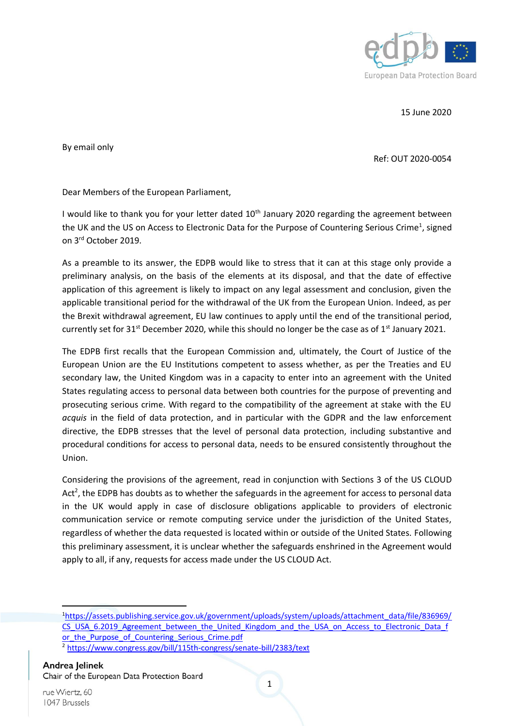

15 June 2020

By email only

Ref: OUT 2020-0054

Dear Members of the European Parliament,

I would like to thank you for your letter dated 10<sup>th</sup> January 2020 regarding the agreement between the UK and the US on Access to Electronic Data for the Purpose of Countering Serious Crime<sup>1</sup>, signed on 3rd October 2019.

As a preamble to its answer, the EDPB would like to stress that it can at this stage only provide a preliminary analysis, on the basis of the elements at its disposal, and that the date of effective application of this agreement is likely to impact on any legal assessment and conclusion, given the applicable transitional period for the withdrawal of the UK from the European Union. Indeed, as per the Brexit withdrawal agreement, EU law continues to apply until the end of the transitional period, currently set for  $31^{st}$  December 2020, while this should no longer be the case as of  $1^{st}$  January 2021.

The EDPB first recalls that the European Commission and, ultimately, the Court of Justice of the European Union are the EU Institutions competent to assess whether, as per the Treaties and EU secondary law, the United Kingdom was in a capacity to enter into an agreement with the United States regulating access to personal data between both countries for the purpose of preventing and prosecuting serious crime. With regard to the compatibility of the agreement at stake with the EU *acquis* in the field of data protection, and in particular with the GDPR and the law enforcement directive, the EDPB stresses that the level of personal data protection, including substantive and procedural conditions for access to personal data, needs to be ensured consistently throughout the Union.

Considering the provisions of the agreement, read in conjunction with Sections 3 of the US CLOUD Act<sup>2</sup>, the EDPB has doubts as to whether the safeguards in the agreement for access to personal data in the UK would apply in case of disclosure obligations applicable to providers of electronic communication service or remote computing service under the jurisdiction of the United States, regardless of whether the data requested is located within or outside of the United States. Following this preliminary assessment, it is unclear whether the safeguards enshrined in the Agreement would apply to all, if any, requests for access made under the US CLOUD Act.

**.** 

<sup>1</sup>[https://assets.publishing.service.gov.uk/government/uploads/system/uploads/attachment\\_data/file/836969/](https://assets.publishing.service.gov.uk/government/uploads/system/uploads/attachment_data/file/836969/CS_USA_6.2019_Agreement_between_the_United_Kingdom_and_the_USA_on_Access_to_Electronic_Data_for_the_Purpose_of_Countering_Serious_Crime.pdf) [CS\\_USA\\_6.2019\\_Agreement\\_between\\_the\\_United\\_Kingdom\\_and\\_the\\_USA\\_on\\_Access\\_to\\_Electronic\\_Data\\_f](https://assets.publishing.service.gov.uk/government/uploads/system/uploads/attachment_data/file/836969/CS_USA_6.2019_Agreement_between_the_United_Kingdom_and_the_USA_on_Access_to_Electronic_Data_for_the_Purpose_of_Countering_Serious_Crime.pdf) or the Purpose of Countering Serious Crime.pdf <sup>2</sup> <https://www.congress.gov/bill/115th-congress/senate-bill/2383/text>